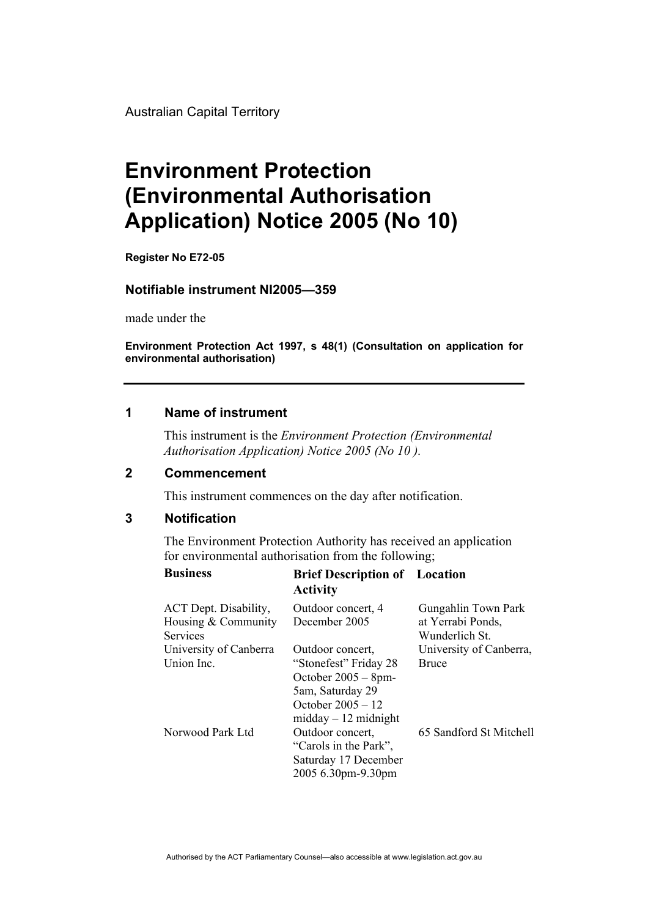Australian Capital Territory

# **Environment Protection (Environmental Authorisation Application) Notice 2005 (No 10)**

**Register No E72-05** 

#### **Notifiable instrument NI2005—359**

made under the

**Environment Protection Act 1997, s 48(1) (Consultation on application for environmental authorisation)**

### **1 Name of instrument**

This instrument is the *Environment Protection (Environmental Authorisation Application) Notice 2005 (No 10 ).* 

#### **2 Commencement**

This instrument commences on the day after notification.

## **3 Notification**

The Environment Protection Authority has received an application for environmental authorisation from the following;

| <b>Business</b>                                                 | <b>Brief Description of Location</b><br><b>Activity</b>                                                                                          |                                                            |
|-----------------------------------------------------------------|--------------------------------------------------------------------------------------------------------------------------------------------------|------------------------------------------------------------|
| ACT Dept. Disability,<br>Housing & Community<br><b>Services</b> | Outdoor concert, 4<br>December 2005                                                                                                              | Gungahlin Town Park<br>at Yerrabi Ponds,<br>Wunderlich St. |
| University of Canberra<br>Union Inc.                            | Outdoor concert,<br>"Stonefest" Friday 28<br>October $2005 - 8$ pm-<br>5am, Saturday 29<br>October $2005 - 12$<br>$midday - 12 \text{ midnight}$ | University of Canberra,<br><b>Bruce</b>                    |
| Norwood Park Ltd                                                | Outdoor concert,<br>"Carols in the Park",<br>Saturday 17 December<br>2005 6.30pm-9.30pm                                                          | 65 Sandford St Mitchell                                    |